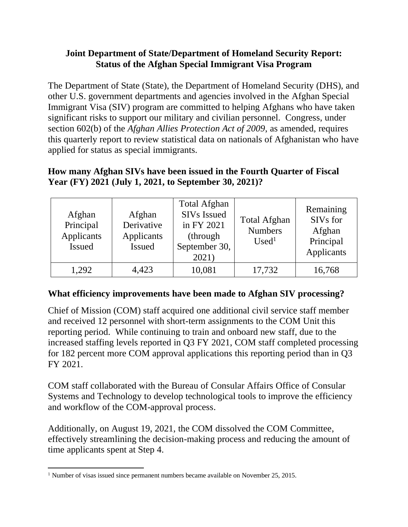# **Joint Department of State/Department of Homeland Security Report: Status of the Afghan Special Immigrant Visa Program**

The Department of State (State), the Department of Homeland Security (DHS), and other U.S. government departments and agencies involved in the Afghan Special Immigrant Visa (SIV) program are committed to helping Afghans who have taken significant risks to support our military and civilian personnel. Congress, under section 602(b) of the *Afghan Allies Protection Act of 2009*, as amended, requires this quarterly report to review statistical data on nationals of Afghanistan who have applied for status as special immigrants.

### **How many Afghan SIVs have been issued in the Fourth Quarter of Fiscal Year (FY) 2021 (July 1, 2021, to September 30, 2021)?**

| Afghan<br>Principal<br>Applicants<br><b>Issued</b> | Afghan<br>Derivative<br>Applicants<br>Issued | <b>Total Afghan</b><br><b>SIVs Issued</b><br>in FY 2021<br>(through)<br>September 30,<br>2021) | <b>Total Afghan</b><br><b>Numbers</b><br>Used <sup>1</sup> | Remaining<br>SIVs for<br>Afghan<br>Principal<br>Applicants |
|----------------------------------------------------|----------------------------------------------|------------------------------------------------------------------------------------------------|------------------------------------------------------------|------------------------------------------------------------|
| 1,292                                              | 4,423                                        | 10,081                                                                                         | 17,732                                                     | 16,768                                                     |

## **What efficiency improvements have been made to Afghan SIV processing?**

Chief of Mission (COM) staff acquired one additional civil service staff member and received 12 personnel with short-term assignments to the COM Unit this reporting period. While continuing to train and onboard new staff, due to the increased staffing levels reported in Q3 FY 2021, COM staff completed processing for 182 percent more COM approval applications this reporting period than in Q3 FY 2021.

COM staff collaborated with the Bureau of Consular Affairs Office of Consular Systems and Technology to develop technological tools to improve the efficiency and workflow of the COM-approval process.

Additionally, on August 19, 2021, the COM dissolved the COM Committee, effectively streamlining the decision-making process and reducing the amount of time applicants spent at Step 4.

<sup>&</sup>lt;sup>1</sup> Number of visas issued since permanent numbers became available on November 25, 2015.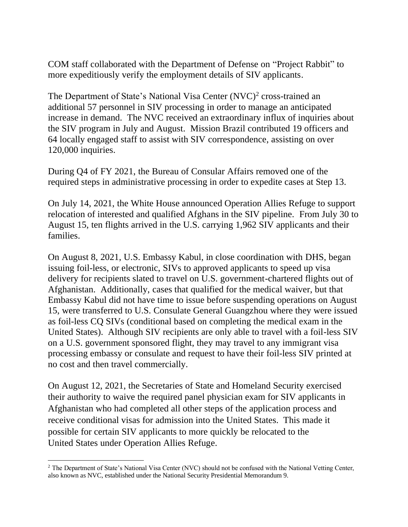COM staff collaborated with the Department of Defense on "Project Rabbit" to more expeditiously verify the employment details of SIV applicants.

The Department of State's National Visa Center (NVC) 2 cross-trained an additional 57 personnel in SIV processing in order to manage an anticipated increase in demand. The NVC received an extraordinary influx of inquiries about the SIV program in July and August. Mission Brazil contributed 19 officers and 64 locally engaged staff to assist with SIV correspondence, assisting on over 120,000 inquiries.

During Q4 of FY 2021, the Bureau of Consular Affairs removed one of the required steps in administrative processing in order to expedite cases at Step 13.

On July 14, 2021, the White House announced Operation Allies Refuge to support relocation of interested and qualified Afghans in the SIV pipeline. From July 30 to August 15, ten flights arrived in the U.S. carrying 1,962 SIV applicants and their families.

On August 8, 2021, U.S. Embassy Kabul, in close coordination with DHS, began issuing foil-less, or electronic, SIVs to approved applicants to speed up visa delivery for recipients slated to travel on U.S. government-chartered flights out of Afghanistan. Additionally, cases that qualified for the medical waiver, but that Embassy Kabul did not have time to issue before suspending operations on August 15, were transferred to U.S. Consulate General Guangzhou where they were issued as foil-less CQ SIVs (conditional based on completing the medical exam in the United States). Although SIV recipients are only able to travel with a foil-less SIV on a U.S. government sponsored flight, they may travel to any immigrant visa processing embassy or consulate and request to have their foil-less SIV printed at no cost and then travel commercially.

On August 12, 2021, the Secretaries of State and Homeland Security exercised their authority to waive the required panel physician exam for SIV applicants in Afghanistan who had completed all other steps of the application process and receive conditional visas for admission into the United States. This made it possible for certain SIV applicants to more quickly be relocated to the United States under Operation Allies Refuge.

<sup>&</sup>lt;sup>2</sup> The Department of State's National Visa Center (NVC) should not be confused with the National Vetting Center, also known as NVC, established under the National Security Presidential Memorandum 9.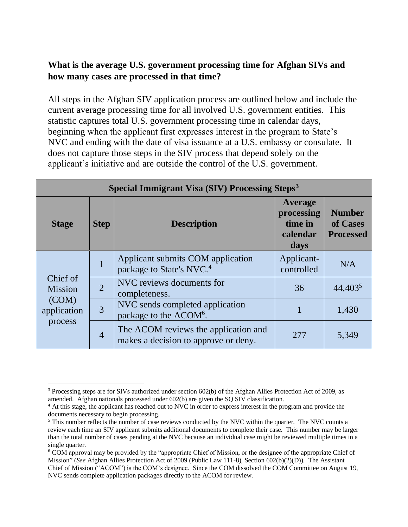# **What is the average U.S. government processing time for Afghan SIVs and how many cases are processed in that time?**

All steps in the Afghan SIV application process are outlined below and include the current average processing time for all involved U.S. government entities. This statistic captures total U.S. government processing time in calendar days, beginning when the applicant first expresses interest in the program to State's NVC and ending with the date of visa issuance at a U.S. embassy or consulate. It does not capture those steps in the SIV process that depend solely on the applicant's initiative and are outside the control of the U.S. government.

| <b>Special Immigrant Visa (SIV) Processing Steps<sup>3</sup></b> |                |                                                                              |                                                      |                                               |  |
|------------------------------------------------------------------|----------------|------------------------------------------------------------------------------|------------------------------------------------------|-----------------------------------------------|--|
| <b>Stage</b>                                                     | <b>Step</b>    | <b>Description</b>                                                           | Average<br>processing<br>time in<br>calendar<br>days | <b>Number</b><br>of Cases<br><b>Processed</b> |  |
| Chief of<br><b>Mission</b><br>(COM)<br>application<br>process    | 1              | Applicant submits COM application<br>package to State's NVC. <sup>4</sup>    | Applicant-<br>controlled                             | N/A                                           |  |
|                                                                  | $\overline{2}$ | NVC reviews documents for<br>completeness.                                   | 36                                                   | 44,403 <sup>5</sup>                           |  |
|                                                                  | 3              | NVC sends completed application<br>package to the ACOM <sup>6</sup> .        |                                                      | 1,430                                         |  |
|                                                                  | $\overline{4}$ | The ACOM reviews the application and<br>makes a decision to approve or deny. | 277                                                  | 5,349                                         |  |

<sup>3</sup> Processing steps are for SIVs authorized under section 602(b) of the Afghan Allies Protection Act of 2009, as amended. Afghan nationals processed under 602(b) are given the SQ SIV classification.

<sup>&</sup>lt;sup>4</sup> At this stage, the applicant has reached out to NVC in order to express interest in the program and provide the documents necessary to begin processing.

<sup>&</sup>lt;sup>5</sup> This number reflects the number of case reviews conducted by the NVC within the quarter. The NVC counts a review each time an SIV applicant submits additional documents to complete their case. This number may be larger than the total number of cases pending at the NVC because an individual case might be reviewed multiple times in a single quarter.

<sup>6</sup> COM approval may be provided by the "appropriate Chief of Mission, or the designee of the appropriate Chief of Mission" (*See* Afghan Allies Protection Act of 2009 (Public Law 111-8), Section 602(b)(2)(D)). The Assistant Chief of Mission ("ACOM") is the COM's designee. Since the COM dissolved the COM Committee on August 19, NVC sends complete application packages directly to the ACOM for review.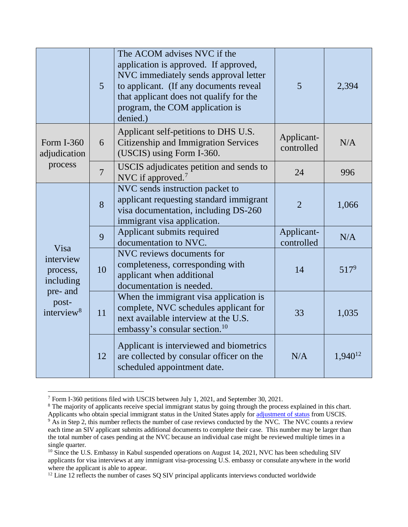|                                                                                  | $\overline{5}$ | The ACOM advises NVC if the<br>application is approved. If approved,<br>NVC immediately sends approval letter<br>to applicant. (If any documents reveal<br>that applicant does not qualify for the<br>program, the COM application is<br>denied.) | 5                        | 2,394        |
|----------------------------------------------------------------------------------|----------------|---------------------------------------------------------------------------------------------------------------------------------------------------------------------------------------------------------------------------------------------------|--------------------------|--------------|
| Form I-360<br>adjudication<br>process                                            | 6              | Applicant self-petitions to DHS U.S.<br>Citizenship and Immigration Services<br>(USCIS) using Form I-360.                                                                                                                                         | Applicant-<br>controlled | N/A          |
|                                                                                  | $\overline{7}$ | USCIS adjudicates petition and sends to<br>NVC if approved. <sup>7</sup>                                                                                                                                                                          | 24                       | 996          |
| Visa<br>interview<br>process,<br>including<br>pre- and<br>post-<br>interview $8$ | 8              | NVC sends instruction packet to<br>applicant requesting standard immigrant<br>visa documentation, including DS-260<br>immigrant visa application.                                                                                                 | $\overline{2}$           | 1,066        |
|                                                                                  | 9              | Applicant submits required<br>documentation to NVC.                                                                                                                                                                                               | Applicant-<br>controlled | N/A          |
|                                                                                  | 10             | NVC reviews documents for<br>completeness, corresponding with<br>applicant when additional<br>documentation is needed.                                                                                                                            | 14                       | $517^9$      |
|                                                                                  | 11             | When the immigrant visa application is<br>complete, NVC schedules applicant for<br>next available interview at the U.S.<br>embassy's consular section. <sup>10</sup>                                                                              | 33                       | 1,035        |
|                                                                                  | 12             | Applicant is interviewed and biometrics<br>are collected by consular officer on the<br>scheduled appointment date.                                                                                                                                | N/A                      | $1,940^{12}$ |

<sup>7</sup> Form I-360 petitions filed with USCIS between July 1, 2021, and September 30, 2021.

<sup>&</sup>lt;sup>8</sup> The majority of applicants receive special immigrant status by going through the process explained in this chart. Applicants who obtain special immigrant status in the United States apply fo[r adjustment of](http://www.uscis.gov/green-card/green-card-processes-and-procedures/adjustment-status) status from USCIS.

<sup>&</sup>lt;sup>9</sup> As in Step 2, this number reflects the number of case reviews conducted by the NVC. The NVC counts a review each time an SIV applicant submits additional documents to complete their case. This number may be larger than the total number of cases pending at the NVC because an individual case might be reviewed multiple times in a single quarter.

<sup>&</sup>lt;sup>10</sup> Since the U.S. Embassy in Kabul suspended operations on August 14, 2021, NVC has been scheduling SIV applicants for visa interviews at any immigrant visa-processing U.S. embassy or consulate anywhere in the world where the applicant is able to appear.

<sup>&</sup>lt;sup>12</sup> Line 12 reflects the number of cases SQ SIV principal applicants interviews conducted worldwide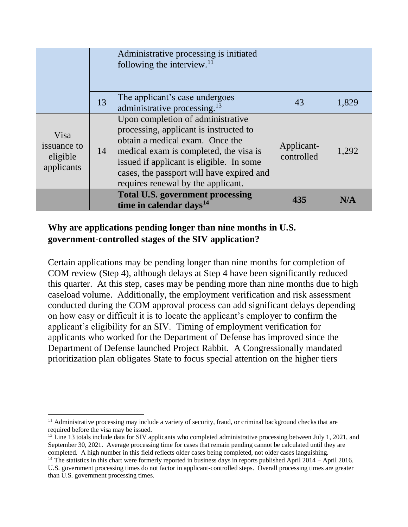|                                               |    | Administrative processing is initiated<br>following the interview. $^{11}$                                                                                                                                                                                                              |                          |       |
|-----------------------------------------------|----|-----------------------------------------------------------------------------------------------------------------------------------------------------------------------------------------------------------------------------------------------------------------------------------------|--------------------------|-------|
|                                               | 13 | The applicant's case undergoes<br>administrative processing. <sup>13</sup>                                                                                                                                                                                                              | 43                       | 1,829 |
| Visa<br>issuance to<br>eligible<br>applicants | 14 | Upon completion of administrative<br>processing, applicant is instructed to<br>obtain a medical exam. Once the<br>medical exam is completed, the visa is<br>issued if applicant is eligible. In some<br>cases, the passport will have expired and<br>requires renewal by the applicant. | Applicant-<br>controlled | 1,292 |
|                                               |    | <b>Total U.S. government processing</b><br>time in calendar days <sup>14</sup>                                                                                                                                                                                                          | 435                      | N/A   |

# **Why are applications pending longer than nine months in U.S. government-controlled stages of the SIV application?**

Certain applications may be pending longer than nine months for completion of COM review (Step 4), although delays at Step 4 have been significantly reduced this quarter. At this step, cases may be pending more than nine months due to high caseload volume. Additionally, the employment verification and risk assessment conducted during the COM approval process can add significant delays depending on how easy or difficult it is to locate the applicant's employer to confirm the applicant's eligibility for an SIV. Timing of employment verification for applicants who worked for the Department of Defense has improved since the Department of Defense launched Project Rabbit. A Congressionally mandated prioritization plan obligates State to focus special attention on the higher tiers

<sup>&</sup>lt;sup>11</sup> Administrative processing may include a variety of security, fraud, or criminal background checks that are required before the visa may be issued.

<sup>&</sup>lt;sup>13</sup> Line 13 totals include data for SIV applicants who completed administrative processing between July 1, 2021, and September 30, 2021. Average processing time for cases that remain pending cannot be calculated until they are completed. A high number in this field reflects older cases being completed, not older cases languishing.

<sup>&</sup>lt;sup>14</sup> The statistics in this chart were formerly reported in business days in reports published April 2014 – April 2016. U.S. government processing times do not factor in applicant-controlled steps. Overall processing times are greater than U.S. government processing times.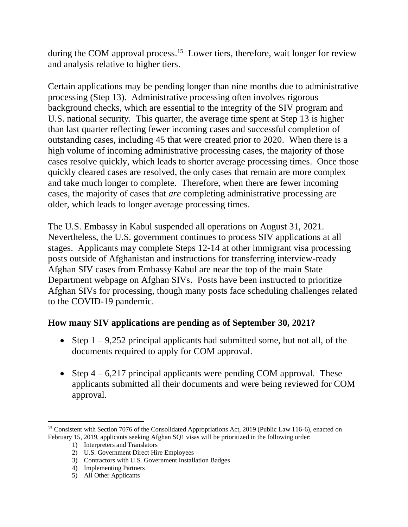during the COM approval process.<sup>15</sup> Lower tiers, therefore, wait longer for review and analysis relative to higher tiers.

Certain applications may be pending longer than nine months due to administrative processing (Step 13). Administrative processing often involves rigorous background checks, which are essential to the integrity of the SIV program and U.S. national security. This quarter, the average time spent at Step 13 is higher than last quarter reflecting fewer incoming cases and successful completion of outstanding cases, including 45 that were created prior to 2020. When there is a high volume of incoming administrative processing cases, the majority of those cases resolve quickly, which leads to shorter average processing times. Once those quickly cleared cases are resolved, the only cases that remain are more complex and take much longer to complete. Therefore, when there are fewer incoming cases, the majority of cases that *are* completing administrative processing are older, which leads to longer average processing times.

The U.S. Embassy in Kabul suspended all operations on August 31, 2021. Nevertheless, the U.S. government continues to process SIV applications at all stages. Applicants may complete Steps 12-14 at other immigrant visa processing posts outside of Afghanistan and instructions for transferring interview-ready Afghan SIV cases from Embassy Kabul are near the top of the main State Department webpage on Afghan SIVs. Posts have been instructed to prioritize Afghan SIVs for processing, though many posts face scheduling challenges related to the COVID-19 pandemic.

## **How many SIV applications are pending as of September 30, 2021?**

- Step  $1 9,252$  principal applicants had submitted some, but not all, of the documents required to apply for COM approval.
- Step  $4 6,217$  principal applicants were pending COM approval. These applicants submitted all their documents and were being reviewed for COM approval.

<sup>&</sup>lt;sup>15</sup> Consistent with Section 7076 of the Consolidated Appropriations Act, 2019 (Public Law 116-6), enacted on February 15, 2019, applicants seeking Afghan SQ1 visas will be prioritized in the following order:

<sup>1)</sup> Interpreters and Translators

<sup>2)</sup> U.S. Government Direct Hire Employees

<sup>3)</sup> Contractors with U.S. Government Installation Badges

<sup>4)</sup> Implementing Partners

<sup>5)</sup> All Other Applicants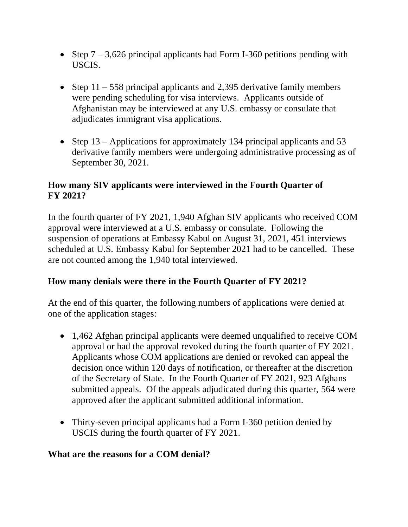- Step  $7 3{,}626$  principal applicants had Form I-360 petitions pending with USCIS.
- Step  $11 558$  principal applicants and 2,395 derivative family members were pending scheduling for visa interviews. Applicants outside of Afghanistan may be interviewed at any U.S. embassy or consulate that adjudicates immigrant visa applications.
- Step 13 Applications for approximately 134 principal applicants and 53 derivative family members were undergoing administrative processing as of September 30, 2021.

## **How many SIV applicants were interviewed in the Fourth Quarter of FY 2021?**

In the fourth quarter of FY 2021, 1,940 Afghan SIV applicants who received COM approval were interviewed at a U.S. embassy or consulate. Following the suspension of operations at Embassy Kabul on August 31, 2021, 451 interviews scheduled at U.S. Embassy Kabul for September 2021 had to be cancelled. These are not counted among the 1,940 total interviewed.

## **How many denials were there in the Fourth Quarter of FY 2021?**

At the end of this quarter, the following numbers of applications were denied at one of the application stages:

- 1,462 Afghan principal applicants were deemed unqualified to receive COM approval or had the approval revoked during the fourth quarter of FY 2021. Applicants whose COM applications are denied or revoked can appeal the decision once within 120 days of notification, or thereafter at the discretion of the Secretary of State. In the Fourth Quarter of FY 2021, 923 Afghans submitted appeals. Of the appeals adjudicated during this quarter, 564 were approved after the applicant submitted additional information.
- Thirty-seven principal applicants had a Form I-360 petition denied by USCIS during the fourth quarter of FY 2021.

#### **What are the reasons for a COM denial?**